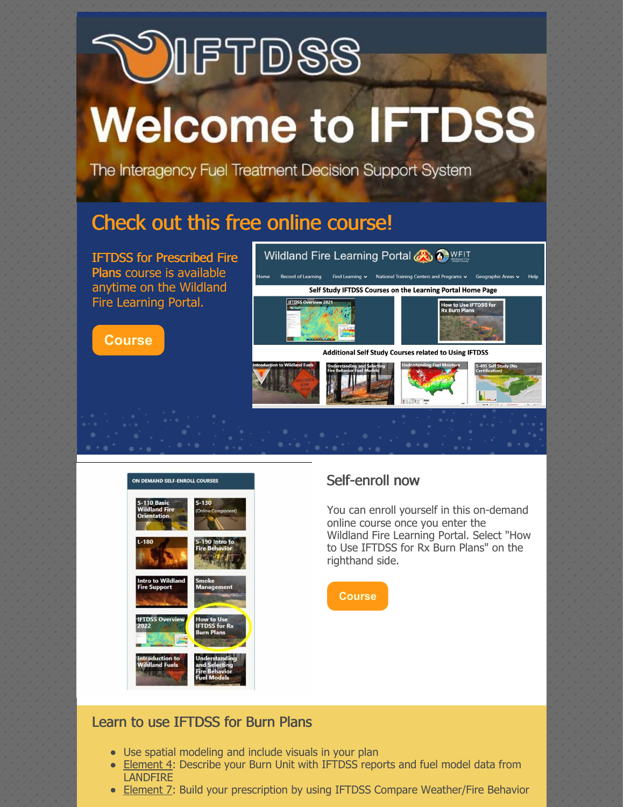# IFTDSS **Welcome to IFTDSS**

The Interagency Fuel Treatment Decision Support System

## Check out this free online course!

IFTDSS for Prescribed Fire Plans course is available anytime on the Wildland Fire Learning Portal.

**[Course](https://wildlandfirelearningportal.net/)**





## Self-enroll now

You can enroll yourself in this on-demand online course once you enter the Wildland Fire Learning Portal. Select "How to Use IFTDSS for Rx Burn Plans" on the righthand side.



## Learn to use IFTDSS for Burn Plans

- Use spatial modeling and include visuals in your plan
- Element 4: Describe your Burn Unit with IFTDSS reports and fuel model data from **LANDFIRE**
- Element 7: Build your prescription by using IFTDSS Compare Weather/Fire Behavior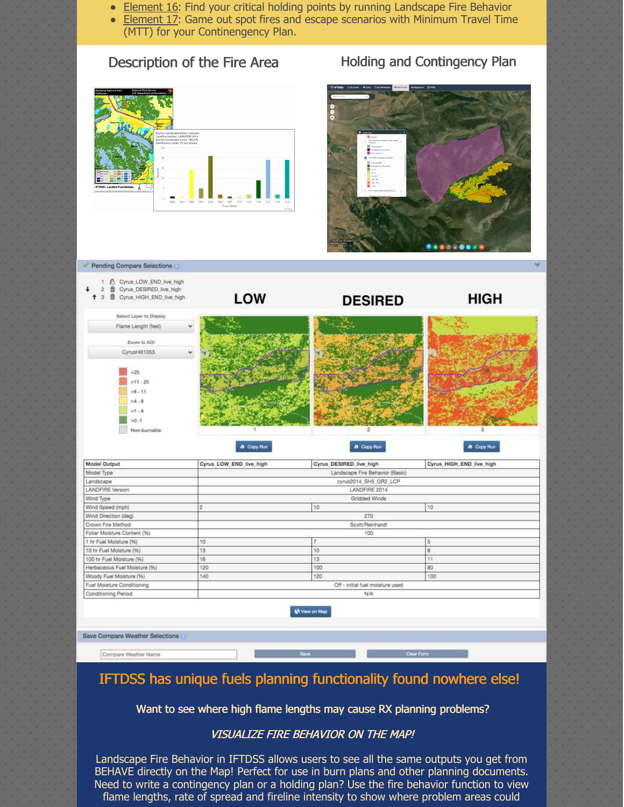- **Element 16: Find your critical holding points by running Landscape Fire Behavior**
- Element 17: Game out spot fires and escape scenarios with Minimum Travel Time (MTT) for your Continengency Plan.

## Description of the Fire Area Holding and Contingency Plan





| Cyrus_DESIRED_live_high<br>畲<br>$\overline{2}$<br>啬<br>Cyrus_HIGH_END_live_high<br>3 | LOW                             | <b>DESIRED</b>               | <b>HIGH</b>                          |  |
|--------------------------------------------------------------------------------------|---------------------------------|------------------------------|--------------------------------------|--|
| Select Layer to Display                                                              |                                 |                              |                                      |  |
| Flame Length (feet)                                                                  | $\check{~}$                     |                              |                                      |  |
| Zoom to AOI                                                                          |                                 |                              |                                      |  |
| CyrusHill1053                                                                        | v                               |                              |                                      |  |
| >25<br>$>11 - 25$<br>$>8 - 11$<br>>4.8<br>>1.4<br>$-0.1$<br>Non-burnable             | <b>Ji</b> Copy Run              | $\overline{2}$<br>4 Copy Run | $\overline{3}$<br><b>St</b> Copy Run |  |
| Model Output                                                                         | Cyrus_LOW_END_live_high         | Cyrus_DESIRED_live_high      | Cyrus_HIGH_END_live_high             |  |
| Model Type                                                                           | Landscape Fire Behavior (Basic) |                              |                                      |  |
| Landscape                                                                            | cyrus2014_SH5_GR2_LCP           |                              |                                      |  |
| LANDFIRE Version                                                                     | LANDFIRE 2014                   |                              |                                      |  |
| Wind Type                                                                            | Gridded Winds                   |                              |                                      |  |
| Wind Speed (mph)                                                                     | $\overline{2}$                  | 10                           | 10                                   |  |
| Wind Direction (deg)                                                                 | 270                             |                              |                                      |  |
| Crown Fire Method                                                                    | Scott/Reinhardt                 |                              |                                      |  |
|                                                                                      |                                 | 100                          |                                      |  |
| Foliar Moisture Content (%)                                                          |                                 | 7                            | 5                                    |  |
| 1 hr Fuel Moisture (%)                                                               | 10                              |                              |                                      |  |
| 10 hr Fuel Moisture (%)                                                              | 13                              | 10                           | 8                                    |  |
| 100 hr Fuel Moisture (%)                                                             | 16                              | 13                           | 11                                   |  |
| Herbaceous Fuel Moisture (%)                                                         | 120                             | 100                          | 80                                   |  |

Wew on Map

Off - initial fuel moisture used

 $N/A$ 

Save Compare Weather Selections

Fuel Moisture Conditioning

Conditioning Period

Pending Compare Selections

Compare Weather Name

## IFTDSS has unique fuels planning functionality found nowhere else!

Want to see where high flame lengths may cause RX planning problems?

## VISUALIZE FIRE BEHAVIOR ON THE MAP!

Landscape Fire Behavior in IFTDSS allows users to see all the same outputs you get from BEHAVE directly on the Map! Perfect for use in burn plans and other planning documents. Need to write a contingency plan or a holding plan? Use the fire behavior function to view flame lengths, rate of spread and fireline intensity to show where problem areas could